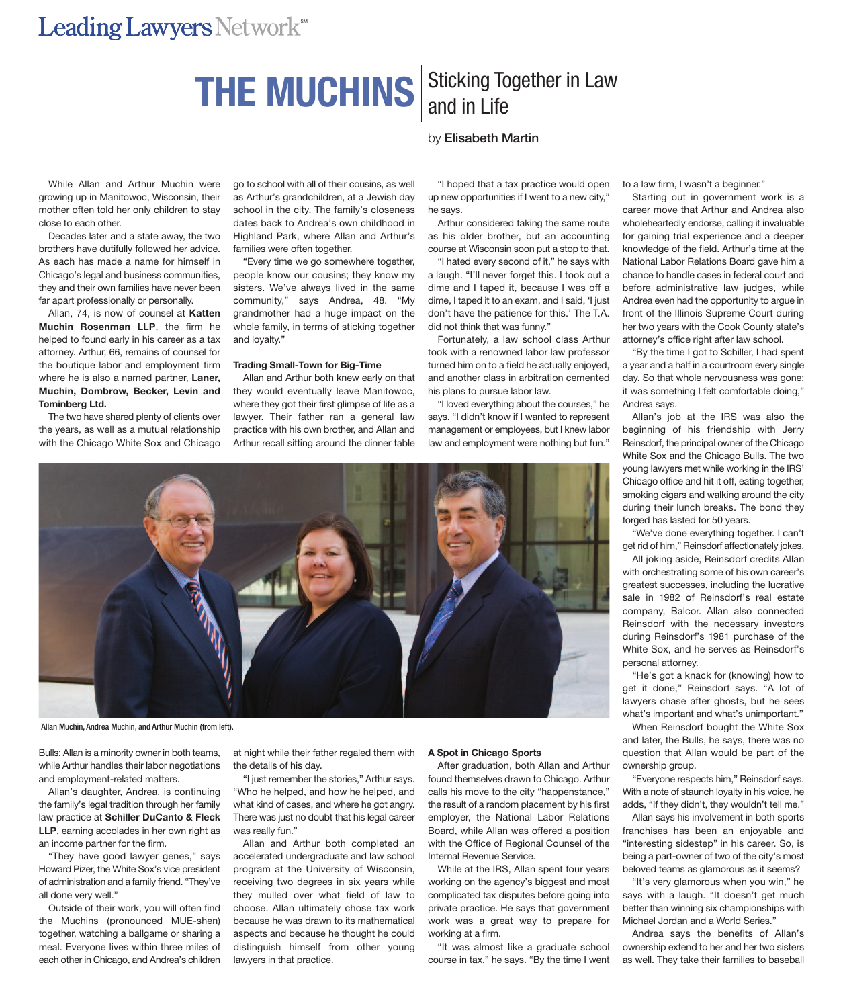# **THE MUCHINS** and in Life

### by Elisabeth Martin

While Allan and Arthur Muchin were growing up in Manitowoc, Wisconsin, their mother often told her only children to stay close to each other.

Decades later and a state away, the two brothers have dutifully followed her advice. As each has made a name for himself in Chicago's legal and business communities, they and their own families have never been far apart professionally or personally.

Allan, 74, is now of counsel at **Katten Muchin Rosenman LLP**, the firm he helped to found early in his career as a tax attorney. Arthur, 66, remains of counsel for the boutique labor and employment firm where he is also a named partner, **Laner, Muchin, Dombrow, Becker, Levin and Tominberg Ltd.**

The two have shared plenty of clients over the years, as well as a mutual relationship with the Chicago White Sox and Chicago go to school with all of their cousins, as well as Arthur's grandchildren, at a Jewish day school in the city. The family's closeness dates back to Andrea's own childhood in Highland Park, where Allan and Arthur's families were often together.

"Every time we go somewhere together, people know our cousins; they know my sisters. We've always lived in the same community," says Andrea, 48. "My grandmother had a huge impact on the whole family, in terms of sticking together and loyalty."

#### **Trading Small-Town for Big-Time**

Allan and Arthur both knew early on that they would eventually leave Manitowoc, where they got their first glimpse of life as a lawyer. Their father ran a general law practice with his own brother, and Allan and Arthur recall sitting around the dinner table

"I hoped that a tax practice would open up new opportunities if I went to a new city," he says.

Arthur considered taking the same route as his older brother, but an accounting course at Wisconsin soon put a stop to that.

"I hated every second of it," he says with a laugh. "I'll never forget this. I took out a dime and I taped it, because I was off a dime, I taped it to an exam, and I said, 'I just don't have the patience for this.' The T.A. did not think that was funny."

Fortunately, a law school class Arthur took with a renowned labor law professor turned him on to a field he actually enjoyed, and another class in arbitration cemented his plans to pursue labor law.

"I loved everything about the courses," he says. "I didn't know if I wanted to represent management or employees, but I knew labor law and employment were nothing but fun."



Allan Muchin, Andrea Muchin, and Arthur Muchin (from left).

Bulls: Allan is a minority owner in both teams, while Arthur handles their labor negotiations and employment-related matters.

Allan's daughter, Andrea, is continuing the family's legal tradition through her family law practice at **Schiller DuCanto & Fleck LLP**, earning accolades in her own right as an income partner for the firm.

"They have good lawyer genes," says Howard Pizer, the White Sox's vice president of administration and a family friend. "They've all done very well."

Outside of their work, you will often find the Muchins (pronounced MUE-shen) together, watching a ballgame or sharing a meal. Everyone lives within three miles of each other in Chicago, and Andrea's children at night while their father regaled them with the details of his day.

"I just remember the stories," Arthur says. "Who he helped, and how he helped, and what kind of cases, and where he got angry. There was just no doubt that his legal career was really fun."

Allan and Arthur both completed an accelerated undergraduate and law school program at the University of Wisconsin, receiving two degrees in six years while they mulled over what field of law to choose. Allan ultimately chose tax work because he was drawn to its mathematical aspects and because he thought he could distinguish himself from other young lawyers in that practice.

### **A Spot in Chicago Sports**

After graduation, both Allan and Arthur found themselves drawn to Chicago. Arthur calls his move to the city "happenstance," the result of a random placement by his first employer, the National Labor Relations Board, while Allan was offered a position with the Office of Regional Counsel of the Internal Revenue Service.

While at the IRS, Allan spent four years working on the agency's biggest and most complicated tax disputes before going into private practice. He says that government work was a great way to prepare for working at a firm.

"It was almost like a graduate school course in tax," he says. "By the time I went to a law firm, I wasn't a beginner."

Starting out in government work is a career move that Arthur and Andrea also wholeheartedly endorse, calling it invaluable for gaining trial experience and a deeper knowledge of the field. Arthur's time at the National Labor Relations Board gave him a chance to handle cases in federal court and before administrative law judges, while Andrea even had the opportunity to argue in front of the Illinois Supreme Court during her two years with the Cook County state's attorney's office right after law school.

"By the time I got to Schiller, I had spent a year and a half in a courtroom every single day. So that whole nervousness was gone; it was something I felt comfortable doing," Andrea says.

Allan's job at the IRS was also the beginning of his friendship with Jerry Reinsdorf, the principal owner of the Chicago White Sox and the Chicago Bulls. The two young lawyers met while working in the IRS' Chicago office and hit it off, eating together, smoking cigars and walking around the city during their lunch breaks. The bond they forged has lasted for 50 years.

"We've done everything together. I can't get rid of him," Reinsdorf affectionately jokes.

All joking aside, Reinsdorf credits Allan with orchestrating some of his own career's greatest successes, including the lucrative sale in 1982 of Reinsdorf's real estate company, Balcor. Allan also connected Reinsdorf with the necessary investors during Reinsdorf's 1981 purchase of the White Sox, and he serves as Reinsdorf's personal attorney.

"He's got a knack for (knowing) how to get it done," Reinsdorf says. "A lot of lawyers chase after ghosts, but he sees what's important and what's unimportant."

When Reinsdorf bought the White Sox and later, the Bulls, he says, there was no question that Allan would be part of the ownership group.

"Everyone respects him," Reinsdorf says. With a note of staunch loyalty in his voice, he adds, "If they didn't, they wouldn't tell me."

Allan says his involvement in both sports franchises has been an enjoyable and "interesting sidestep" in his career. So, is being a part-owner of two of the city's most beloved teams as glamorous as it seems?

"It's very glamorous when you win," he says with a laugh. "It doesn't get much better than winning six championships with Michael Jordan and a World Series."

Andrea says the benefits of Allan's ownership extend to her and her two sisters as well. They take their families to baseball